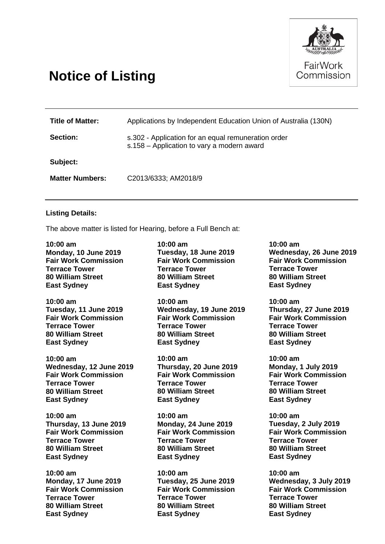

## **Notice of Listing**

| <b>Title of Matter:</b> | Applications by Independent Education Union of Australia (130N)                                   |
|-------------------------|---------------------------------------------------------------------------------------------------|
| Section:                | s.302 - Application for an equal remuneration order<br>s.158 - Application to vary a modern award |
| Subject:                |                                                                                                   |
| <b>Matter Numbers:</b>  | C2013/6333; AM2018/9                                                                              |

## **Listing Details:**

The above matter is listed for Hearing, before a Full Bench at:

**10:00 am Monday, 10 June 2019 Fair Work Commission Terrace Tower 80 William Street East Sydney**

**10:00 am Tuesday, 11 June 2019 Fair Work Commission Terrace Tower 80 William Street East Sydney**

**10:00 am Wednesday, 12 June 2019 Fair Work Commission Terrace Tower 80 William Street East Sydney**

**10:00 am Thursday, 13 June 2019 Fair Work Commission Terrace Tower 80 William Street East Sydney**

**10:00 am Monday, 17 June 2019 Fair Work Commission Terrace Tower 80 William Street East Sydney**

**10:00 am Tuesday, 18 June 2019 Fair Work Commission Terrace Tower 80 William Street East Sydney**

**10:00 am Wednesday, 19 June 2019 Fair Work Commission Terrace Tower 80 William Street East Sydney**

**10:00 am Thursday, 20 June 2019 Fair Work Commission Terrace Tower 80 William Street East Sydney**

**10:00 am Monday, 24 June 2019 Fair Work Commission Terrace Tower 80 William Street East Sydney**

**10:00 am Tuesday, 25 June 2019 Fair Work Commission Terrace Tower 80 William Street East Sydney**

**10:00 am Wednesday, 26 June 2019 Fair Work Commission Terrace Tower 80 William Street East Sydney**

**10:00 am Thursday, 27 June 2019 Fair Work Commission Terrace Tower 80 William Street East Sydney**

**10:00 am Monday, 1 July 2019 Fair Work Commission Terrace Tower 80 William Street East Sydney**

**10:00 am Tuesday, 2 July 2019 Fair Work Commission Terrace Tower 80 William Street East Sydney**

**10:00 am Wednesday, 3 July 2019 Fair Work Commission Terrace Tower 80 William Street East Sydney**